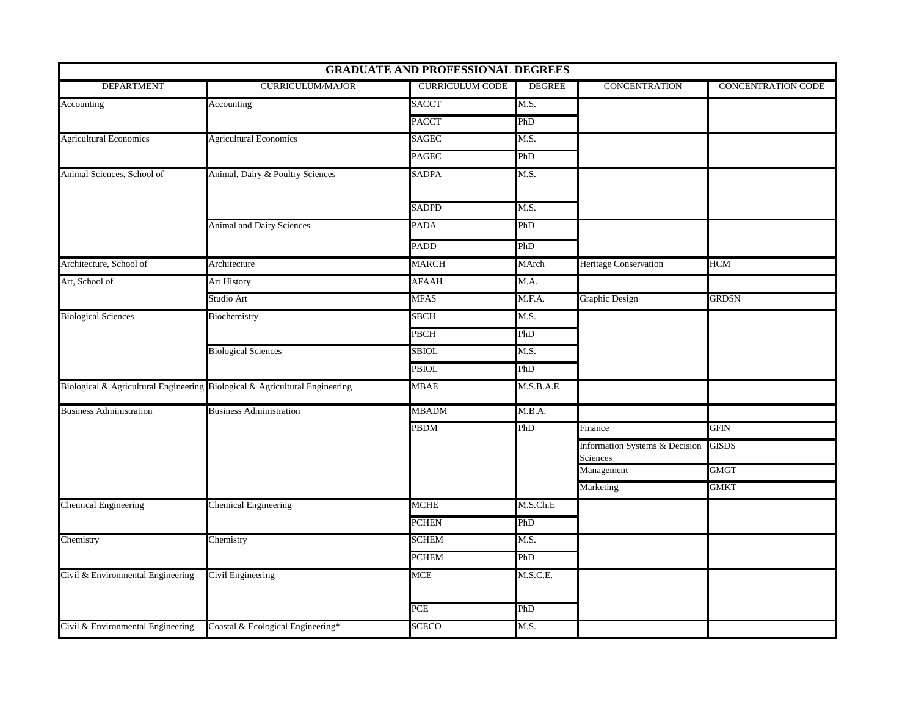|                                   |                                                                             | <b>GRADUATE AND PROFESSIONAL DEGREES</b> |               |                                            |                    |
|-----------------------------------|-----------------------------------------------------------------------------|------------------------------------------|---------------|--------------------------------------------|--------------------|
| <b>DEPARTMENT</b>                 | <b>CURRICULUM/MAJOR</b>                                                     | <b>CURRICULUM CODE</b>                   | <b>DEGREE</b> | <b>CONCENTRATION</b>                       | CONCENTRATION CODE |
| Accounting                        | Accounting                                                                  | <b>SACCT</b>                             | M.S.          |                                            |                    |
|                                   |                                                                             | <b>PACCT</b>                             | PhD           |                                            |                    |
| <b>Agricultural Economics</b>     | <b>Agricultural Economics</b>                                               | <b>SAGEC</b>                             | M.S.          |                                            |                    |
|                                   |                                                                             | <b>PAGEC</b>                             | PhD           |                                            |                    |
| Animal Sciences, School of        | Animal, Dairy & Poultry Sciences                                            | <b>SADPA</b>                             | M.S.          |                                            |                    |
|                                   |                                                                             | <b>SADPD</b>                             | M.S.          |                                            |                    |
|                                   | Animal and Dairy Sciences                                                   | <b>PADA</b>                              | PhD           |                                            |                    |
|                                   |                                                                             | <b>PADD</b>                              | PhD           |                                            |                    |
| Architecture, School of           | Architecture                                                                | <b>MARCH</b>                             | MArch         | <b>Heritage Conservation</b>               | <b>HCM</b>         |
| Art, School of                    | <b>Art History</b>                                                          | <b>AFAAH</b>                             | M.A.          |                                            |                    |
|                                   | Studio Art                                                                  | <b>MFAS</b>                              | M.F.A.        | Graphic Design                             | <b>GRDSN</b>       |
| <b>Biological Sciences</b>        | Biochemistry                                                                | <b>SBCH</b>                              | M.S.          |                                            |                    |
|                                   |                                                                             | PBCH                                     | PhD           |                                            |                    |
|                                   | <b>Biological Sciences</b>                                                  | <b>SBIOL</b>                             | M.S.          |                                            |                    |
|                                   |                                                                             | PBIOL                                    | PhD           |                                            |                    |
|                                   | Biological & Agricultural Engineering Biological & Agricultural Engineering | <b>MBAE</b>                              | M.S.B.A.E     |                                            |                    |
| <b>Business Administration</b>    | <b>Business Administration</b>                                              | <b>MBADM</b>                             | M.B.A.        |                                            |                    |
|                                   |                                                                             | <b>PBDM</b>                              | PhD           | Finance                                    | <b>GFIN</b>        |
|                                   |                                                                             |                                          |               | Information Systems & Decision<br>Sciences | <b>GISDS</b>       |
|                                   |                                                                             |                                          |               | Management                                 | <b>GMGT</b>        |
|                                   |                                                                             |                                          |               | Marketing                                  | GMKT               |
| <b>Chemical Engineering</b>       | <b>Chemical Engineering</b>                                                 | <b>MCHE</b>                              | M.S.Ch.E      |                                            |                    |
|                                   |                                                                             | <b>PCHEN</b>                             | PhD           |                                            |                    |
| Chemistry                         | Chemistry                                                                   | <b>SCHEM</b>                             | M.S.          |                                            |                    |
|                                   |                                                                             | <b>PCHEM</b>                             | PhD           |                                            |                    |
| Civil & Environmental Engineering | Civil Engineering                                                           | <b>MCE</b>                               | M.S.C.E.      |                                            |                    |
|                                   |                                                                             | PCE                                      | PhD           |                                            |                    |
| Civil & Environmental Engineering | Coastal & Ecological Engineering*                                           | <b>SCECO</b>                             | M.S.          |                                            |                    |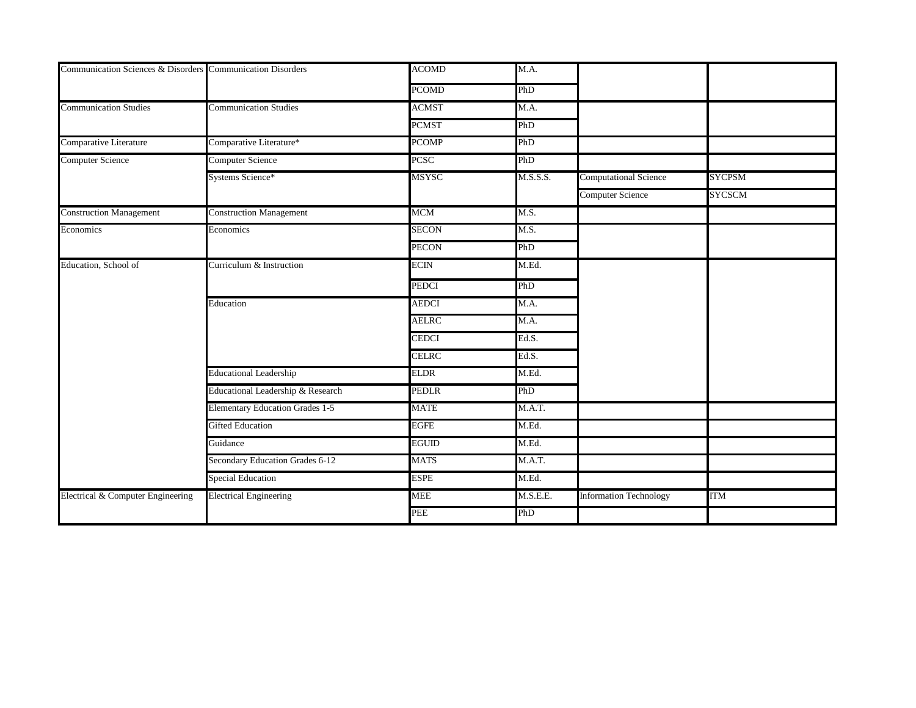| Communication Sciences & Disorders Communication Disorders |                                        | <b>ACOMD</b> | M.A.     |                               |               |
|------------------------------------------------------------|----------------------------------------|--------------|----------|-------------------------------|---------------|
|                                                            |                                        | <b>PCOMD</b> | PhD      |                               |               |
| <b>Communication Studies</b>                               | <b>Communication Studies</b>           | ACMST        | M.A.     |                               |               |
|                                                            |                                        | <b>PCMST</b> | PhD      |                               |               |
| Comparative Literature                                     | Comparative Literature*                | <b>PCOMP</b> | PhD      |                               |               |
| Computer Science                                           | Computer Science                       | <b>PCSC</b>  | PhD      |                               |               |
|                                                            | Systems Science*                       | <b>MSYSC</b> | M.S.S.S. | Computational Science         | <b>SYCPSM</b> |
|                                                            |                                        |              |          | Computer Science              | <b>SYCSCM</b> |
| <b>Construction Management</b>                             | <b>Construction Management</b>         | MCM          | M.S.     |                               |               |
| Economics                                                  | Economics                              | <b>SECON</b> | M.S.     |                               |               |
|                                                            |                                        | <b>PECON</b> | PhD      |                               |               |
| Education, School of                                       | Curriculum & Instruction               | ECIN         | M.Ed.    |                               |               |
|                                                            |                                        | PEDCI        | PhD      |                               |               |
|                                                            | Education                              | <b>AEDCI</b> | M.A.     |                               |               |
|                                                            |                                        | <b>AELRC</b> | M.A.     |                               |               |
|                                                            |                                        | <b>CEDCI</b> | Ed.S.    |                               |               |
|                                                            |                                        | <b>CELRC</b> | Ed.S.    |                               |               |
|                                                            | <b>Educational Leadership</b>          | ELDR         | M.Ed.    |                               |               |
|                                                            | Educational Leadership & Research      | <b>PEDLR</b> | PhD      |                               |               |
|                                                            | <b>Elementary Education Grades 1-5</b> | <b>MATE</b>  | M.A.T.   |                               |               |
|                                                            | Gifted Education                       | EGFE         | M.Ed.    |                               |               |
|                                                            | Guidance                               | EGUID        | M.Ed.    |                               |               |
|                                                            | Secondary Education Grades 6-12        | MATS         | M.A.T.   |                               |               |
|                                                            | <b>Special Education</b>               | ESPE         | M.Ed.    |                               |               |
| Electrical & Computer Engineering                          | <b>Electrical Engineering</b>          | <b>MEE</b>   | M.S.E.E. | <b>Information Technology</b> | ITM           |
|                                                            |                                        | PEE          | PhD      |                               |               |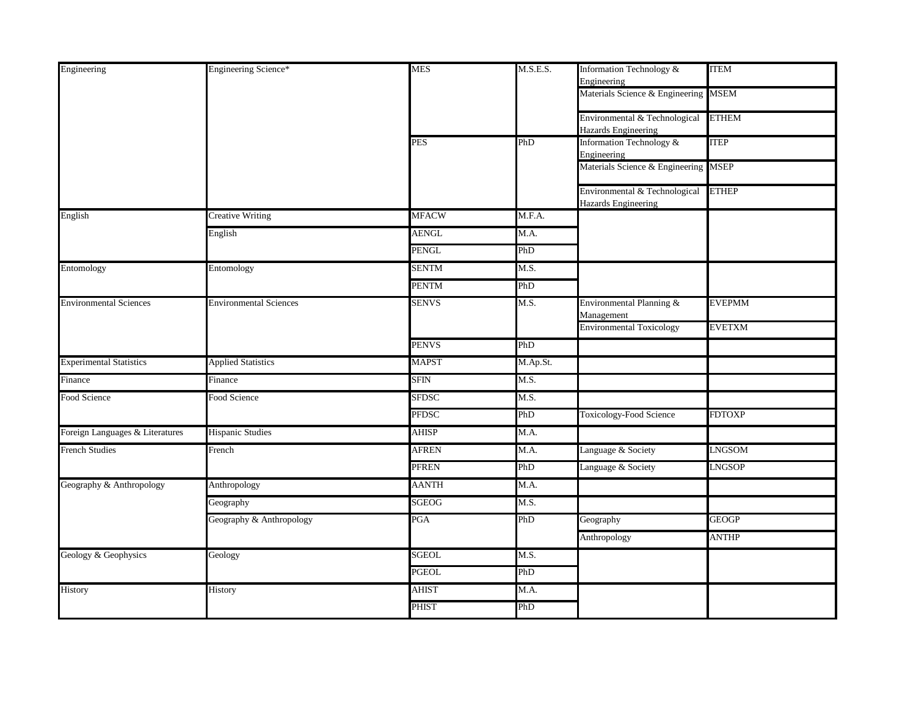| Engineering                     | Engineering Science*          | <b>MES</b>   | M.S.E.S. | Information Technology &<br>Engineering              | <b>ITEM</b>   |
|---------------------------------|-------------------------------|--------------|----------|------------------------------------------------------|---------------|
|                                 |                               |              |          | Materials Science & Engineering MSEM                 |               |
|                                 |                               |              |          | Environmental & Technological<br>Hazards Engineering | <b>ETHEM</b>  |
|                                 |                               | <b>PES</b>   | PhD      | Information Technology &<br>Engineering              | <b>ITEP</b>   |
|                                 |                               |              |          | Materials Science & Engineering MSEP                 |               |
|                                 |                               |              |          | Environmental & Technological<br>Hazards Engineering | <b>ETHEP</b>  |
| English                         | <b>Creative Writing</b>       | <b>MFACW</b> | M.F.A.   |                                                      |               |
|                                 | English                       | <b>AENGL</b> | M.A.     |                                                      |               |
|                                 |                               | <b>PENGL</b> | PhD      |                                                      |               |
| Entomology                      | Entomology                    | <b>SENTM</b> | M.S.     |                                                      |               |
|                                 |                               | <b>PENTM</b> | PhD      |                                                      |               |
| <b>Environmental Sciences</b>   | <b>Environmental Sciences</b> | <b>SENVS</b> | M.S.     | Environmental Planning &<br>Management               | <b>EVEPMM</b> |
|                                 |                               |              |          | <b>Environmental Toxicology</b>                      | <b>EVETXM</b> |
|                                 |                               | <b>PENVS</b> | PhD      |                                                      |               |
| <b>Experimental Statistics</b>  | <b>Applied Statistics</b>     | <b>MAPST</b> | M.Ap.St. |                                                      |               |
| Finance                         | Finance                       | <b>SFIN</b>  | M.S.     |                                                      |               |
| Food Science                    | Food Science                  | <b>SFDSC</b> | M.S.     |                                                      |               |
|                                 |                               | <b>PFDSC</b> | PhD      | Toxicology-Food Science                              | <b>FDTOXP</b> |
| Foreign Languages & Literatures | <b>Hispanic Studies</b>       | <b>AHISP</b> | M.A.     |                                                      |               |
| <b>French Studies</b>           | French                        | <b>AFREN</b> | M.A.     | Language & Society                                   | LNGSOM        |
|                                 |                               | PFREN        | PhD      | Language & Society                                   | <b>LNGSOP</b> |
| Geography & Anthropology        | Anthropology                  | <b>AANTH</b> | M.A.     |                                                      |               |
|                                 | Geography                     | SGEOG        | M.S.     |                                                      |               |
|                                 | Geography & Anthropology      | PGA          | PhD      | Geography                                            | <b>GEOGP</b>  |
|                                 |                               |              |          | Anthropology                                         | <b>ANTHP</b>  |
| Geology & Geophysics            | Geology                       | SGEOL        | M.S.     |                                                      |               |
|                                 |                               | PGEOL        | PhD      |                                                      |               |
| History                         | History                       | <b>AHIST</b> | M.A.     |                                                      |               |
|                                 |                               | <b>PHIST</b> | PhD      |                                                      |               |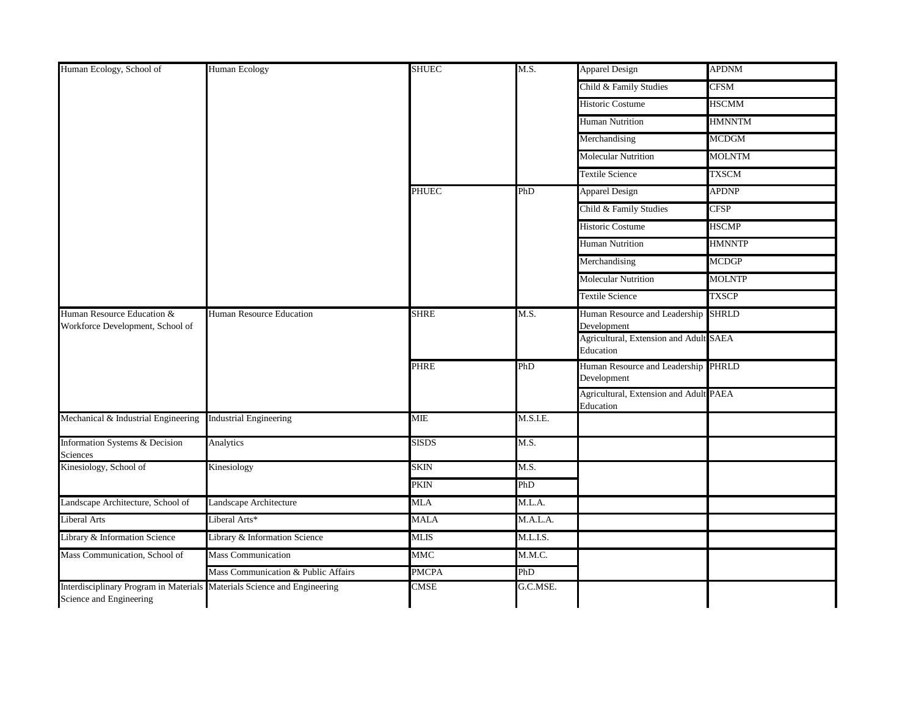| Human Ecology, School of                                                                            | Human Ecology                       | <b>SHUEC</b> | M.S.     | <b>Apparel Design</b>                               | <b>APDNM</b>  |
|-----------------------------------------------------------------------------------------------------|-------------------------------------|--------------|----------|-----------------------------------------------------|---------------|
|                                                                                                     |                                     |              |          | Child & Family Studies                              | <b>CFSM</b>   |
|                                                                                                     |                                     |              |          | <b>Historic Costume</b>                             | <b>HSCMM</b>  |
|                                                                                                     |                                     |              |          | <b>Human Nutrition</b>                              | HMNNTM        |
|                                                                                                     |                                     |              |          | Merchandising                                       | <b>MCDGM</b>  |
|                                                                                                     |                                     |              |          | <b>Molecular Nutrition</b>                          | <b>MOLNTM</b> |
|                                                                                                     |                                     |              |          | <b>Textile Science</b>                              | <b>TXSCM</b>  |
|                                                                                                     |                                     | <b>PHUEC</b> | PhD      | <b>Apparel Design</b>                               | <b>APDNP</b>  |
|                                                                                                     |                                     |              |          | Child & Family Studies                              | <b>CFSP</b>   |
|                                                                                                     |                                     |              |          | <b>Historic Costume</b>                             | <b>HSCMP</b>  |
|                                                                                                     |                                     |              |          | <b>Human Nutrition</b>                              | <b>HMNNTP</b> |
|                                                                                                     |                                     |              |          | Merchandising                                       | <b>MCDGP</b>  |
|                                                                                                     |                                     |              |          | <b>Molecular Nutrition</b>                          | <b>MOLNTP</b> |
|                                                                                                     |                                     |              |          | <b>Textile Science</b>                              | <b>TXSCP</b>  |
| Human Resource Education &<br>Workforce Development, School of                                      | Human Resource Education            | <b>SHRE</b>  | M.S.     | Human Resource and Leadership SHRLD<br>Development  |               |
|                                                                                                     |                                     |              |          | Agricultural, Extension and Adult SAEA<br>Education |               |
|                                                                                                     |                                     | <b>PHRE</b>  | PhD      | Human Resource and Leadership PHRLD<br>Development  |               |
|                                                                                                     |                                     |              |          | Agricultural, Extension and Adult PAEA<br>Education |               |
| Mechanical & Industrial Engineering                                                                 | <b>Industrial Engineering</b>       | <b>MIE</b>   | M.S.I.E. |                                                     |               |
| Information Systems & Decision<br>Sciences                                                          | Analytics                           | <b>SISDS</b> | M.S.     |                                                     |               |
| Kinesiology, School of                                                                              | Kinesiology                         | <b>SKIN</b>  | M.S.     |                                                     |               |
|                                                                                                     |                                     | PKIN         | PhD      |                                                     |               |
| Landscape Architecture, School of                                                                   | Landscape Architecture              | MLA          | M.L.A.   |                                                     |               |
| Liberal Arts                                                                                        | Liberal Arts*                       | <b>MALA</b>  | M.A.L.A. |                                                     |               |
| Library & Information Science                                                                       | Library & Information Science       | <b>MLIS</b>  | M.L.I.S. |                                                     |               |
| Mass Communication, School of                                                                       | <b>Mass Communication</b>           | MMC          | M.M.C.   |                                                     |               |
|                                                                                                     | Mass Communication & Public Affairs | <b>PMCPA</b> | PhD      |                                                     |               |
| Interdisciplinary Program in Materials Materials Science and Engineering<br>Science and Engineering |                                     | <b>CMSE</b>  | G.C.MSE. |                                                     |               |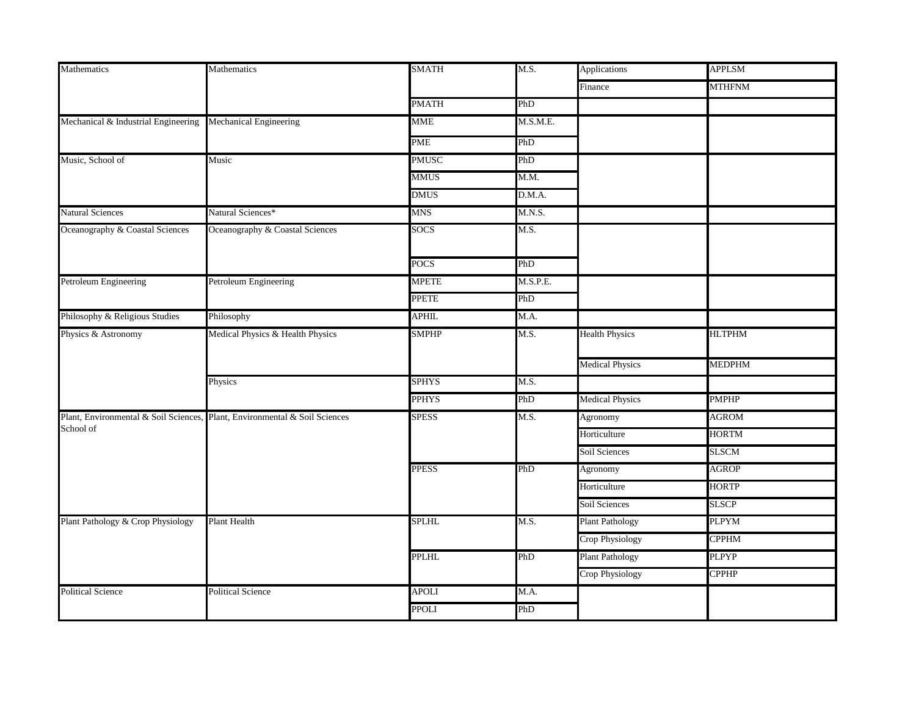| Mathematics                         | Mathematics                                                                | <b>SMATH</b> | M.S.              | Applications           | <b>APPLSM</b> |
|-------------------------------------|----------------------------------------------------------------------------|--------------|-------------------|------------------------|---------------|
|                                     |                                                                            |              |                   | Finance                | <b>MTHFNM</b> |
|                                     |                                                                            | <b>PMATH</b> | PhD               |                        |               |
| Mechanical & Industrial Engineering | Mechanical Engineering                                                     | <b>MME</b>   | M.S.M.E.          |                        |               |
|                                     |                                                                            | PME          | PhD               |                        |               |
| Music, School of                    | Music                                                                      | PMUSC        | PhD               |                        |               |
|                                     |                                                                            | <b>MMUS</b>  | M.M.              |                        |               |
|                                     |                                                                            | <b>DMUS</b>  | D.M.A.            |                        |               |
| <b>Natural Sciences</b>             | Natural Sciences*                                                          | <b>MNS</b>   | M.N.S.            |                        |               |
| Oceanography & Coastal Sciences     | Oceanography & Coastal Sciences                                            | <b>SOCS</b>  | M.S.              |                        |               |
|                                     |                                                                            | <b>POCS</b>  | PhD               |                        |               |
| Petroleum Engineering               | Petroleum Engineering                                                      | <b>MPETE</b> | M.S.P.E.          |                        |               |
|                                     |                                                                            | <b>PPETE</b> | PhD               |                        |               |
| Philosophy & Religious Studies      | Philosophy                                                                 | <b>APHIL</b> | M.A.              |                        |               |
| Physics & Astronomy                 | Medical Physics & Health Physics                                           | <b>SMPHP</b> | M.S.              | <b>Health Physics</b>  | <b>HLTPHM</b> |
|                                     |                                                                            |              |                   | <b>Medical Physics</b> | MEDPHM        |
|                                     | Physics                                                                    | <b>SPHYS</b> | M.S.              |                        |               |
|                                     |                                                                            | <b>PPHYS</b> | PhD               | <b>Medical Physics</b> | <b>PMPHP</b>  |
|                                     | Plant, Environmental & Soil Sciences, Plant, Environmental & Soil Sciences | <b>SPESS</b> | $\overline{M.S.}$ | Agronomy               | <b>AGROM</b>  |
| School of                           |                                                                            |              |                   | Horticulture           | <b>HORTM</b>  |
|                                     |                                                                            |              |                   | Soil Sciences          | SLSCM         |
|                                     |                                                                            | <b>PPESS</b> | PhD               | Agronomy               | <b>AGROP</b>  |
|                                     |                                                                            |              |                   | Horticulture           | <b>HORTP</b>  |
|                                     |                                                                            |              |                   | Soil Sciences          | <b>SLSCP</b>  |
| Plant Pathology & Crop Physiology   | <b>Plant Health</b>                                                        | <b>SPLHL</b> | M.S.              | <b>Plant Pathology</b> | <b>PLPYM</b>  |
|                                     |                                                                            |              |                   | Crop Physiology        | <b>CPPHM</b>  |
|                                     |                                                                            | <b>PPLHL</b> | PhD               | <b>Plant Pathology</b> | PLPYP         |
|                                     |                                                                            |              |                   | Crop Physiology        | <b>CPPHP</b>  |
| <b>Political Science</b>            | <b>Political Science</b>                                                   | <b>APOLI</b> | M.A.              |                        |               |
|                                     |                                                                            | <b>PPOLI</b> | PhD               |                        |               |